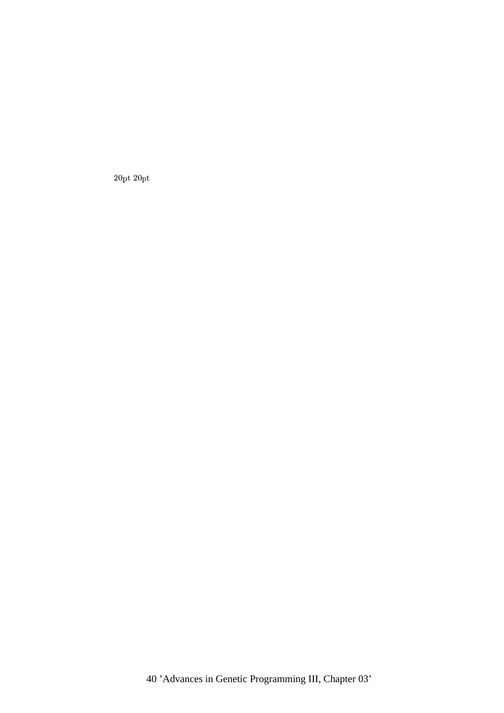---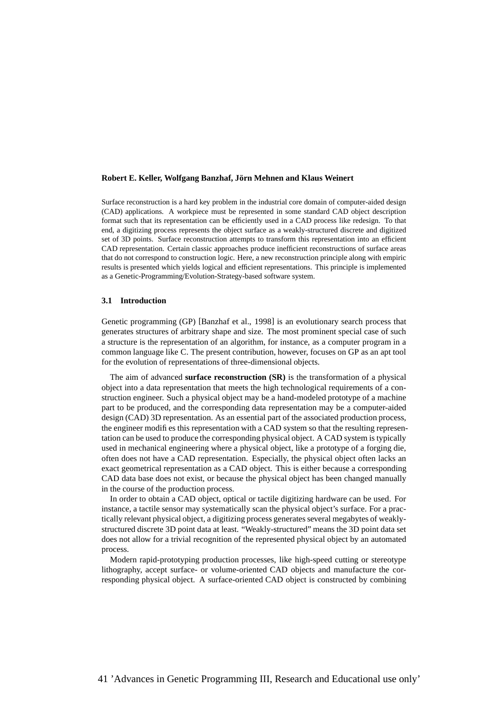#### **Robert E. Keller, Wolfgang Banzhaf, Jor¨ n Mehnen and Klaus Weinert**

Surface reconstruction is a hard key problem in the industrial core domain of computer-aided design (CAD) applications. A workpiece must be represented in some standard CAD object description format such that its representation can be efficiently used in a CAD process like redesign. To that end, a digitizing process represents the object surface as a weakly-structured discrete and digitized set of 3D points. Surface reconstruction attempts to transform this representation into an efficient CAD representation. Certain classic approaches produce inefficient reconstructions of surface areas that do not correspond to construction logic. Here, a new reconstruction principle along with empiric results is presented which yields logical and efficient representations. This principle is implemented as a Genetic-Programming/Evolution-Strategy-based software system.

### **3.1 Introduction**

Genetic programming (GP) [Banzhaf et al., 1998] is an evolutionary search process that generates structures of arbitrary shape and size. The most prominent special case of such a structure is the representation of an algorithm, for instance, as a computer program in a common language like C. The present contribution, however, focuses on GP as an apt tool for the evolution of representations of three-dimensional objects.

The aim of advanced **surface reconstruction (SR)** is the transformation of a physical object into a data representation that meets the high technological requirements of a construction engineer. Such a physical object may be a hand-modeled prototype of a machine part to be produced, and the corresponding data representation may be a computer-aided design (CAD) 3D representation. As an essential part of the associated production process, the engineer modifies this representation with a CAD system so that the resulting representation can be used to produce the corresponding physical object. A CAD system is typically used in mechanical engineering where a physical object, like a prototype of a forging die, often does not have a CAD representation. Especially, the physical object often lacks an exact geometrical representation as a CAD object. This is either because a corresponding CAD data base does not exist, or because the physical object has been changed manually in the course of the production process.

In order to obtain a CAD object, optical or tactile digitizing hardware can be used. For instance, a tactile sensor may systematically scan the physical object's surface. For a practically relevant physical object, a digitizing process generates several megabytes of weaklystructured discrete 3D point data at least. "Weakly-structured" means the 3D point data set does not allow for a trivial recognition of the represented physical object by an automated process.

Modern rapid-prototyping production processes, like high-speed cutting or stereotype lithography, accept surface- or volume-oriented CAD objects and manufacture the corresponding physical object. A surface-oriented CAD object is constructed by combining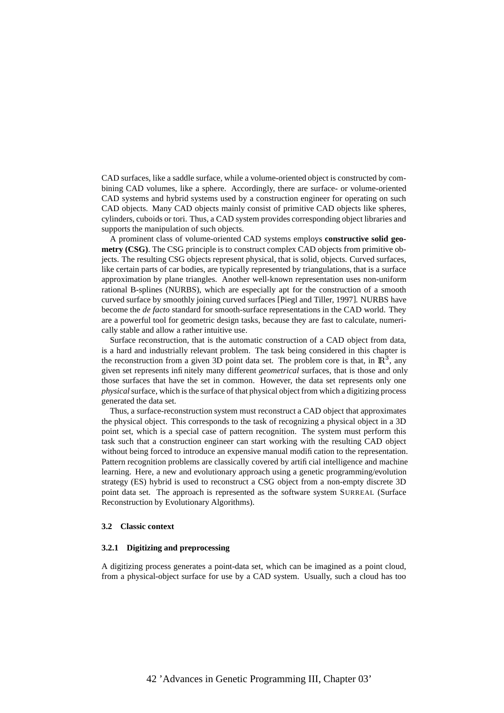CAD surfaces, like a saddle surface, while a volume-oriented object is constructed by combining CAD volumes, like a sphere. Accordingly, there are surface- or volume-oriented CAD systems and hybrid systems used by a construction engineer for operating on such CAD objects. Many CAD objects mainly consist of primitive CAD objects like spheres, cylinders, cuboids or tori. Thus, a CAD system provides corresponding object libraries and supports the manipulation of such objects.

A prominent class of volume-oriented CAD systems employs **constructive solid geometry (CSG)**. The CSG principle is to construct complex CAD objects from primitive objects. The resulting CSG objects represent physical, that is solid, objects. Curved surfaces, like certain parts of car bodies, are typically represented by triangulations, that is a surface approximation by plane triangles. Another well-known representation uses non-uniform rational B-splines (NURBS), which are especially apt for the construction of a smooth curved surface by smoothly joining curved surfaces [Piegl and Tiller, 1997]. NURBS have become the *de facto* standard for smooth-surface representations in the CAD world. They are a powerful tool for geometric design tasks, because they are fast to calculate, numerically stable and allow a rather intuitive use.

Surface reconstruction, that is the automatic construction of a CAD object from data, is a hard and industrially relevant problem. The task being considered in this chapter is the reconstruction from a given 3D point data set. The problem core is that, in  $\mathbb{R}^3$ , any given set represents infinitely many different *geometrical* surfaces, that is those and only those surfaces that have the set in common. However, the data set represents only one *physical*surface, which is the surface of that physical object from which a digitizing process generated the data set.

Thus, a surface-reconstruction system must reconstruct a CAD object that approximates the physical object. This corresponds to the task of recognizing a physical object in a 3D point set, which is a special case of pattern recognition. The system must perform this task such that a construction engineer can start working with the resulting CAD object without being forced to introduce an expensive manual modification to the representation. Pattern recognition problems are classically covered by artificial intelligence and machine learning. Here, a new and evolutionary approach using a genetic programming/evolution strategy (ES) hybrid is used to reconstruct a CSG object from a non-empty discrete 3D point data set. The approach is represented as the software system SURREAL (Surface Reconstruction by Evolutionary Algorithms).

#### **3.2 Classic context**

### **3.2.1 Digitizing and preprocessing**

A digitizing process generates a point-data set, which can be imagined as a point cloud, from a physical-object surface for use by a CAD system. Usually, such a cloud has too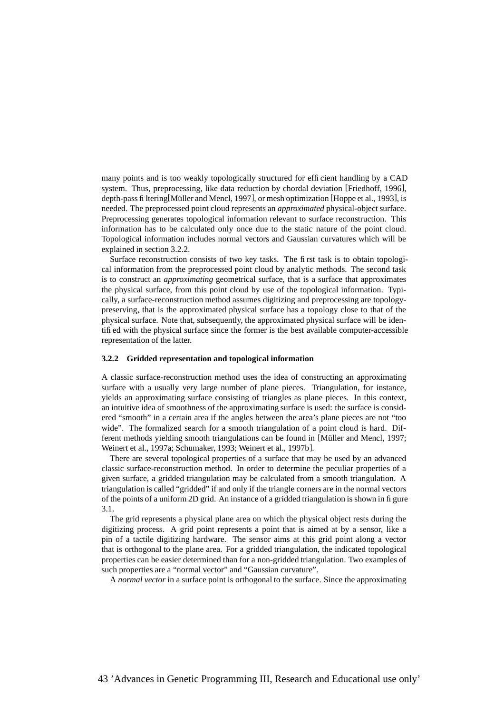many points and is too weakly topologically structured for efficient handling by a CAD system. Thus, preprocessing, like data reduction by chordal deviation [Friedhoff, 1996], depth-pass filtering[Müller and Mencl, 1997], or mesh optimization [Hoppe et al., 1993], is needed. The preprocessed point cloud represents an *approximated* physical-object surface. Preprocessing generates topological information relevant to surface reconstruction. This information has to be calculated only once due to the static nature of the point cloud. Topological information includes normal vectors and Gaussian curvatures which will be explained in section 3.2.2.

Surface reconstruction consists of two key tasks. The first task is to obtain topological information from the preprocessed point cloud by analytic methods. The second task is to construct an *approximating* geometrical surface, that is a surface that approximates the physical surface, from this point cloud by use of the topological information. Typically, a surface-reconstruction method assumes digitizing and preprocessing are topologypreserving, that is the approximated physical surface has a topology close to that of the physical surface. Note that, subsequently, the approximated physical surface will be identified with the physical surface since the former is the best available computer-accessible representation of the latter.

# **3.2.2 Gridded representation and topological information**

A classic surface-reconstruction method uses the idea of constructing an approximating surface with a usually very large number of plane pieces. Triangulation, for instance, yields an approximating surface consisting of triangles as plane pieces. In this context, an intuitive idea of smoothness of the approximating surface is used: the surface is considered "smooth" in a certain area if the angles between the area's plane pieces are not "too wide". The formalized search for a smooth triangulation of a point cloud is hard. Different methods yielding smooth triangulations can be found in [Müller and Mencl, 1997; Weinert et al., 1997a; Schumaker, 1993; Weinert et al., 1997b].

There are several topological properties of a surface that may be used by an advanced classic surface-reconstruction method. In order to determine the peculiar properties of a given surface, a gridded triangulation may be calculated from a smooth triangulation. A triangulation is called "gridded" if and only if the triangle corners are in the normal vectors of the points of a uniform 2D grid. An instance of a gridded triangulation is shown in figure 3.1.

The grid represents a physical plane area on which the physical object rests during the digitizing process. A grid point represents a point that is aimed at by a sensor, like a pin of a tactile digitizing hardware. The sensor aims at this grid point along a vector that is orthogonal to the plane area. For a gridded triangulation, the indicated topological properties can be easier determined than for a non-gridded triangulation. Two examples of such properties are a "normal vector" and "Gaussian curvature".

A *normal vector* in a surface point is orthogonal to the surface. Since the approximating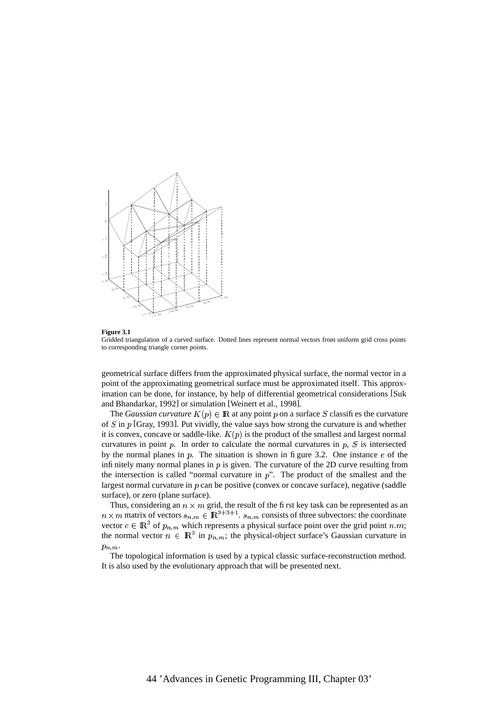



Gridded triangulation of a curved surface. Dotted lines represent normal vectors from uniform grid cross points to corresponding triangle corner points.

geometrical surface differs from the approximated physical surface, the normal vector in a point of the approximating geometrical surface must be approximated itself. This approximation can be done, for instance, by help of differential geometrical considerations [Suk and Bhandarkar, 1992] or simulation [Weinert et al., 1998].

The *Gaussian curvature*  $K(p) \in \mathbb{R}$  at any point p on a surface S classifies the curvature of  $S$  in  $p$  [Gray, 1993]. Put vividly, the value says how strong the curvature is and whether it is convex, concave or saddle-like.  $K(p)$  is the product of the smallest and largest normal curvatures in point p. In order to calculate the normal curvatures in p,  $S$  is intersected by the normal planes in  $p$ . The situation is shown in figure 3.2. One instance  $e$  of the infinitely many normal planes in  $p$  is given. The curvature of the 2D curve resulting from the intersection is called "normal curvature in  $p$ ". The product of the smallest and the largest normal curvature in  $p$  can be positive (convex or concave surface), negative (saddle surface), or zero (plane surface).

Thus, considering an  $n \times m$  grid, the result of the first key task can be represented as an  $m \times m$  matrix of vectors  $s_{n,m} \in \mathbb{R}^{3+3+1}$ .  $s_{n,m}$  consists of three subvectors: the coordinate vector  $c \in \mathbb{R}^3$  of  $p_{n,m}$  which represents a physical surface point over the grid point n.m; the normal vector  $n \in \mathbb{R}^3$  in  $p_{n,m}$ ; the physical-object surface's Gaussian curvature in  $p_{n.m}.$ 

The topological information is used by a typical classic surface-reconstruction method. It is also used by the evolutionary approach that will be presented next.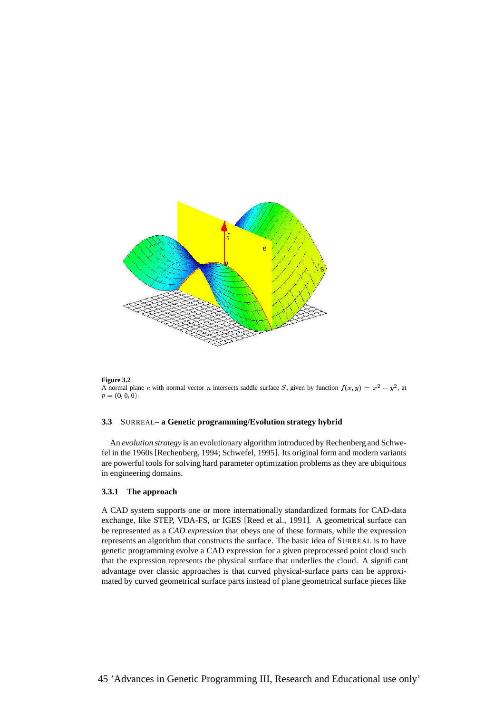

**Figure 3.2** A normal plane e with normal vector n intersects saddle surface S, given by function  $f(x, y) = x^2 - y^2$ , at  $p=(0,0,0).$ 

# **3.3** SURREAL**– a Genetic programming/Evolution strategy hybrid**

An *evolution strategy* is an evolutionary algorithm introduced by Rechenberg and Schwefel in the 1960s [Rechenberg, 1994; Schwefel, 1995]. Its original form and modern variants are powerful tools for solving hard parameter optimization problems as they are ubiquitous in engineering domains.

## **3.3.1 The approach**

A CAD system supports one or more internationally standardized formats for CAD-data exchange, like STEP, VDA-FS, or IGES [Reed et al., 1991]. A geometrical surface can be represented as a *CAD expression* that obeys one of these formats, while the expression represents an algorithm that constructs the surface. The basic idea of SURREAL is to have genetic programming evolve a CAD expression for a given preprocessed point cloud such that the expression represents the physical surface that underlies the cloud. A significant advantage over classic approaches is that curved physical-surface parts can be approximated by curved geometrical surface parts instead of plane geometrical surface pieces like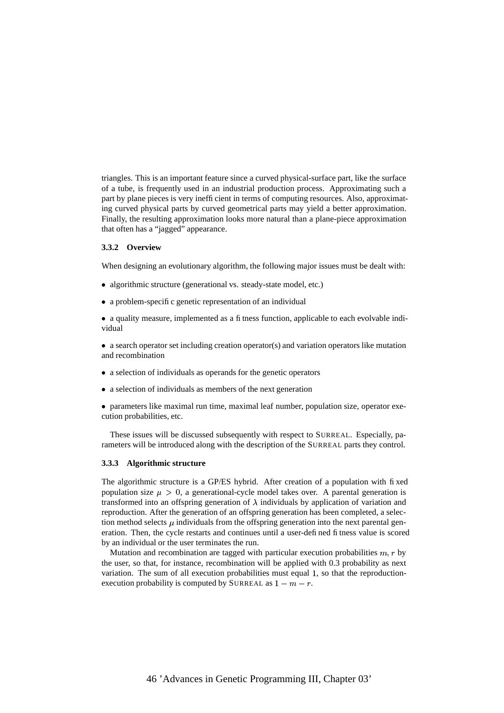triangles. This is an important feature since a curved physical-surface part, like the surface of a tube, is frequently used in an industrial production process. Approximating such a part by plane pieces is very inefficient in terms of computing resources. Also, approximating curved physical parts by curved geometrical parts may yield a better approximation. Finally, the resulting approximation looks more natural than a plane-piece approximation that often has a "jagged" appearance.

# **3.3.2 Overview**

When designing an evolutionary algorithm, the following major issues must be dealt with:

- algorithmic structure (generational vs. steady-state model, etc.)
- a problem-specific genetic representation of an individual

 a quality measure, implemented as a fitness function, applicable to each evolvable individual

 a search operator set including creation operator(s) and variation operators like mutation and recombination

- a selection of individuals as operands for the genetic operators
- a selection of individuals as members of the next generation

 parameters like maximal run time, maximal leaf number, population size, operator execution probabilities, etc.

These issues will be discussed subsequently with respect to SURREAL. Especially, parameters will be introduced along with the description of the SURREAL parts they control.

#### **3.3.3 Algorithmic structure**

The algorithmic structure is a GP/ES hybrid. After creation of a population with fixed population size  $\mu > 0$ , a generational-cycle model takes over. A parental generation is transformed into an offspring generation of  $\lambda$  individuals by application of variation and reproduction. After the generation of an offspring generation has been completed, a selection method selects  $\mu$  individuals from the offspring generation into the next parental generation. Then, the cycle restarts and continues until a user-defined fitness value is scored by an individual or the user terminates the run.

Mutation and recombination are tagged with particular execution probabilities  $m, r$  by the user, so that, for instance, recombination will be applied with 0.3 probability as next variation. The sum of all execution probabilities must equal  $1$ , so that the reproductionexecution probability is computed by SURREAL as  $1 - m - r$ .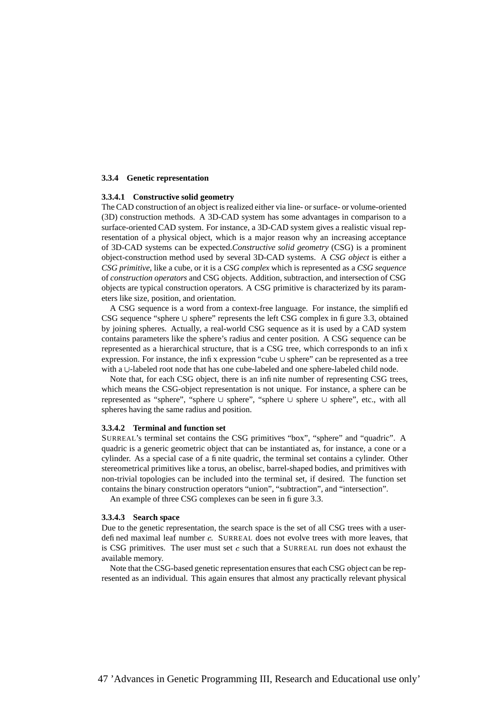#### **3.3.4 Genetic representation**

#### **3.3.4.1 Constructive solid geometry**

The CAD construction of an object is realized either via line- orsurface- or volume-oriented (3D) construction methods. A 3D-CAD system has some advantages in comparison to a surface-oriented CAD system. For instance, a 3D-CAD system gives a realistic visual representation of a physical object, which is a major reason why an increasing acceptance of 3D-CAD systems can be expected.*Constructive solid geometry* (CSG) is a prominent object-construction method used by several 3D-CAD systems. A *CSG object* is either a *CSG primitive*, like a cube, or it is a *CSG complex* which is represented as a *CSG sequence* of *construction operators* and CSG objects. Addition, subtraction, and intersection of CSG objects are typical construction operators. A CSG primitive is characterized by its parameters like size, position, and orientation.

A CSG sequence is a word from a context-free language. For instance, the simplified CSG sequence "sphere  $\cup$  sphere" represents the left CSG complex in figure 3.3, obtained by joining spheres. Actually, a real-world CSG sequence as it is used by a CAD system contains parameters like the sphere's radius and center position. A CSG sequence can be represented as a hierarchical structure, that is a CSG tree, which corresponds to an infix expression. For instance, the infix expression "cube  $\cup$  sphere" can be represented as a tree with a U-labeled root node that has one cube-labeled and one sphere-labeled child node.

Note that, for each CSG object, there is an infinite number of representing CSG trees, which means the CSG-object representation is not unique. For instance, a sphere can be represented as "sphere", "sphere  $\cup$  sphere", "sphere  $\cup$  sphere  $\cup$  sphere", etc., with all spheres having the same radius and position.

#### **3.3.4.2 Terminal and function set**

SURREAL's terminal set contains the CSG primitives "box", "sphere" and "quadric". A quadric is a generic geometric object that can be instantiated as, for instance, a cone or a cylinder. As a special case of a finite quadric, the terminal set contains a cylinder. Other stereometrical primitives like a torus, an obelisc, barrel-shaped bodies, and primitives with non-trivial topologies can be included into the terminal set, if desired. The function set contains the binary construction operators "union", "subtraction", and "intersection".

An example of three CSG complexes can be seen in figure 3.3.

# **3.3.4.3 Search space**

Due to the genetic representation, the search space is the set of all CSG trees with a userdefined maximal leaf number  $c$ . SURREAL does not evolve trees with more leaves, that is CSG primitives. The user must set  $c$  such that a SURREAL run does not exhaust the available memory.

Note that the CSG-based genetic representation ensures that each CSG object can be represented as an individual. This again ensures that almost any practically relevant physical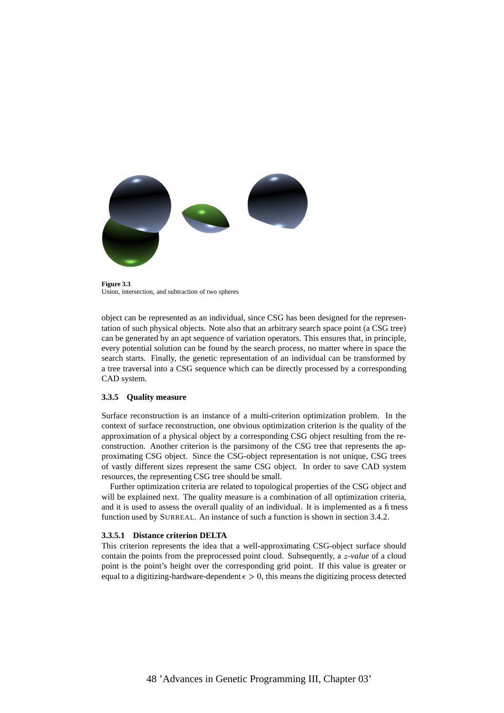

**Figure 3.3** Union, intersection, and subtraction of two spheres

object can be represented as an individual, since CSG has been designed for the representation of such physical objects. Note also that an arbitrary search space point (a CSG tree) can be generated by an apt sequence of variation operators. This ensures that, in principle, every potential solution can be found by the search process, no matter where in space the search starts. Finally, the genetic representation of an individual can be transformed by a tree traversal into a CSG sequence which can be directly processed by a corresponding CAD system.

# **3.3.5 Quality measure**

Surface reconstruction is an instance of a multi-criterion optimization problem. In the context of surface reconstruction, one obvious optimization criterion is the quality of the approximation of a physical object by a corresponding CSG object resulting from the reconstruction. Another criterion is the parsimony of the CSG tree that represents the approximating CSG object. Since the CSG-object representation is not unique, CSG trees of vastly different sizes represent the same CSG object. In order to save CAD system resources, the representing CSG tree should be small.

Further optimization criteria are related to topological properties of the CSG object and will be explained next. The quality measure is a combination of all optimization criteria, and it is used to assess the overall quality of an individual. It is implemented as a fitness function used by SURREAL. An instance of such a function is shown in section 3.4.2.

# **3.3.5.1 Distance criterion DELTA**

This criterion represents the idea that a well-approximating CSG-object surface should contain the points from the preprocessed point cloud. Subsequently, a  $z$ -value of a cloud point is the point's height over the corresponding grid point. If this value is greater or equal to a digitizing-hardware-dependent  $\epsilon > 0$ , this means the digitizing process detected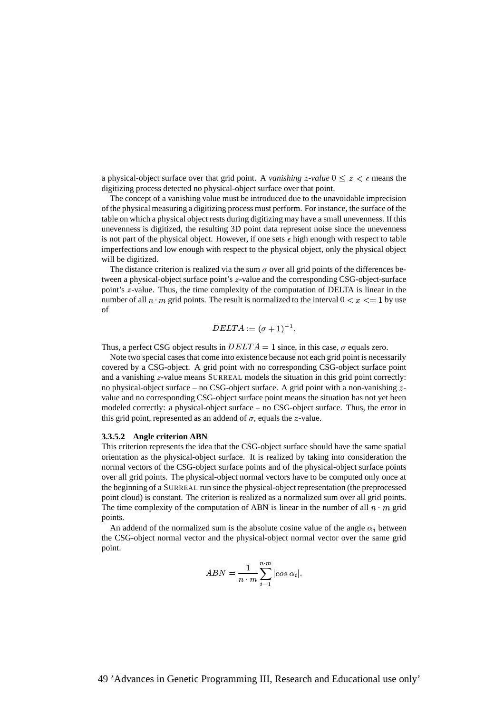a physical-object surface over that grid point. A *vanishing*  $z$ -value  $0 \le z < \epsilon$  means the digitizing process detected no physical-object surface over that point.

The concept of a vanishing value must be introduced due to the unavoidable imprecision of the physical measuring a digitizing process must perform. For instance, the surface of the table on which a physical object rests during digitizing may have a small unevenness. If this unevenness is digitized, the resulting 3D point data represent noise since the unevenness is not part of the physical object. However, if one sets  $\epsilon$  high enough with respect to table imperfections and low enough with respect to the physical object, only the physical object will be digitized.

The distance criterion is realized via the sum  $\sigma$  over all grid points of the differences between a physical-object surface point's  $z$ -value and the corresponding CSG-object-surface point's z-value. Thus, the time complexity of the computation of DELTA is linear in the number of all  $n \cdot m$  grid points. The result is normalized to the interval  $0 < x < 1$  by use of

$$
DELTA := (\sigma + 1)^{-1}.
$$

Thus, a perfect CSG object results in  $DELTA = 1$  since, in this case,  $\sigma$  equals zero.

Note two special cases that come into existence because not each grid point is necessarily covered by a CSG-object. A grid point with no corresponding CSG-object surface point and a vanishing  $z$ -value means SURREAL models the situation in this grid point correctly: no physical-object surface – no CSG-object surface. A grid point with a non-vanishing  $z$ value and no corresponding CSG-object surface point means the situation has not yet been modeled correctly: a physical-object surface – no CSG-object surface. Thus, the error in this grid point, represented as an addend of  $\sigma$ , equals the *z*-value.

#### **3.3.5.2 Angle criterion ABN**

This criterion represents the idea that the CSG-object surface should have the same spatial orientation as the physical-object surface. It is realized by taking into consideration the normal vectors of the CSG-object surface points and of the physical-object surface points over all grid points. The physical-object normal vectors have to be computed only once at the beginning of a SURREAL run since the physical-object representation (the preprocessed point cloud) is constant. The criterion is realized as a normalized sum over all grid points. The time complexity of the computation of ABN is linear in the number of all  $n \cdot m$  grid points.

An addend of the normalized sum is the absolute cosine value of the angle  $\alpha_i$  between the CSG-object normal vector and the physical-object normal vector over the same grid point.

$$
ABN = \frac{1}{n \cdot m} \sum_{i=1}^{n \cdot m} |cos \alpha_i|.
$$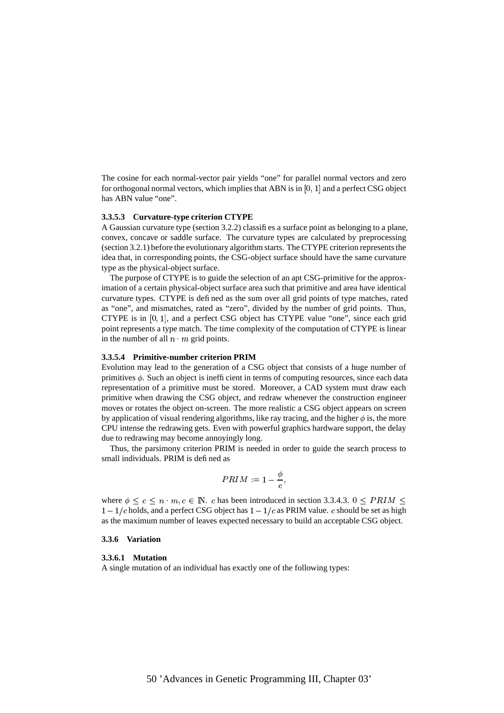The cosine for each normal-vector pair yields "one" for parallel normal vectors and zero for orthogonal normal vectors, which implies that ABN is in  $[0, 1]$  and a perfect CSG object has ABN value "one".

# **3.3.5.3 Curvature-type criterion CTYPE**

A Gaussian curvature type (section 3.2.2) classifies a surface point as belonging to a plane, convex, concave or saddle surface. The curvature types are calculated by preprocessing (section 3.2.1) before the evolutionary algorithm starts. The CTYPE criterion representsthe idea that, in corresponding points, the CSG-object surface should have the same curvature type as the physical-object surface.

The purpose of CTYPE is to guide the selection of an apt CSG-primitive for the approximation of a certain physical-object surface area such that primitive and area have identical curvature types. CTYPE is defined as the sum over all grid points of type matches, rated as "one", and mismatches, rated as "zero", divided by the number of grid points. Thus, CTYPE is in  $[0, 1]$ , and a perfect CSG object has CTYPE value "one", since each grid point represents a type match. The time complexity of the computation of CTYPE is linear in the number of all  $n \cdot m$  grid points.

# **3.3.5.4 Primitive-number criterion PRIM**

Evolution may lead to the generation of a CSG object that consists of a huge number of primitives  $\phi$ . Such an object is inefficient in terms of computing resources, since each data representation of a primitive must be stored. Moreover, a CAD system must draw each primitive when drawing the CSG object, and redraw whenever the construction engineer moves or rotates the object on-screen. The more realistic a CSG object appears on screen by application of visual rendering algorithms, like ray tracing, and the higher  $\phi$  is, the more CPU intense the redrawing gets. Even with powerful graphics hardware support, the delay due to redrawing may become annoyingly long.

Thus, the parsimony criterion PRIM is needed in order to guide the search process to small individuals. PRIM is defined as

$$
PRIM:=1-\frac{\phi}{c},
$$

where  $\phi \leq c \leq n \cdot m, c \in \mathbb{N}$ . c has been introduced in section 3.3.4.3.  $0 \leq PRIM \leq$  $1-1/c$  holds, and a perfect CSG object has  $1-1/c$  as PRIM value. c should be set as high as the maximum number of leaves expected necessary to build an acceptable CSG object.

#### **3.3.6 Variation**

#### **3.3.6.1 Mutation**

A single mutation of an individual has exactly one of the following types: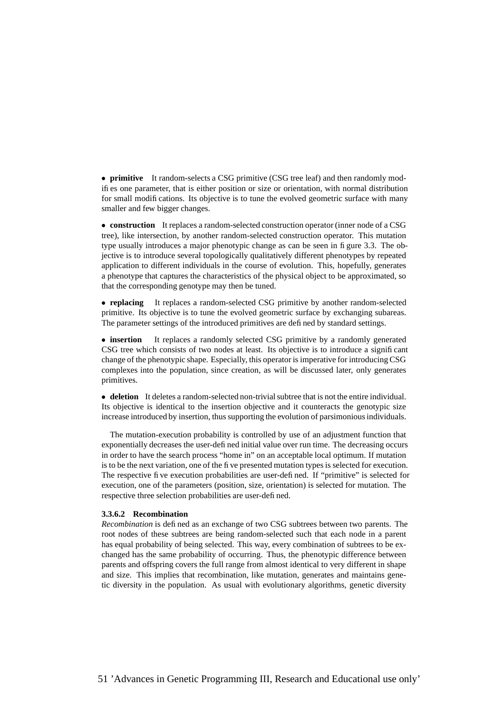**primitive** It random-selects a CSG primitive (CSG tree leaf) and then randomly modifies one parameter, that is either position or size or orientation, with normal distribution for small modifications. Its objective is to tune the evolved geometric surface with many smaller and few bigger changes.

 **construction** It replaces a random-selected construction operator (inner node of a CSG tree), like intersection, by another random-selected construction operator. This mutation type usually introduces a major phenotypic change as can be seen in figure 3.3. The objective is to introduce several topologically qualitatively different phenotypes by repeated application to different individuals in the course of evolution. This, hopefully, generates a phenotype that captures the characteristics of the physical object to be approximated, so that the corresponding genotype may then be tuned.

 **replacing** It replaces a random-selected CSG primitive by another random-selected primitive. Its objective is to tune the evolved geometric surface by exchanging subareas. The parameter settings of the introduced primitives are defined by standard settings.

• insertion It replaces a randomly selected CSG primitive by a randomly generated CSG tree which consists of two nodes at least. Its objective is to introduce a significant change of the phenotypic shape. Especially, this operator is imperative for introducing CSG complexes into the population, since creation, as will be discussed later, only generates primitives.

**deletion** It deletes a random-selected non-trivial subtree that is not the entire individual. Its objective is identical to the insertion objective and it counteracts the genotypic size increase introduced by insertion, thus supporting the evolution of parsimonious individuals.

The mutation-execution probability is controlled by use of an adjustment function that exponentially decreases the user-defined initial value over run time. The decreasing occurs in order to have the search process "home in" on an acceptable local optimum. If mutation is to be the next variation, one of the five presented mutation types is selected for execution. The respective five execution probabilities are user-defined. If "primitive" is selected for execution, one of the parameters (position, size, orientation) is selected for mutation. The respective three selection probabilities are user-defined.

# **3.3.6.2 Recombination**

*Recombination* is defined as an exchange of two CSG subtrees between two parents. The root nodes of these subtrees are being random-selected such that each node in a parent has equal probability of being selected. This way, every combination of subtrees to be exchanged has the same probability of occurring. Thus, the phenotypic difference between parents and offspring covers the full range from almost identical to very different in shape and size. This implies that recombination, like mutation, generates and maintains genetic diversity in the population. As usual with evolutionary algorithms, genetic diversity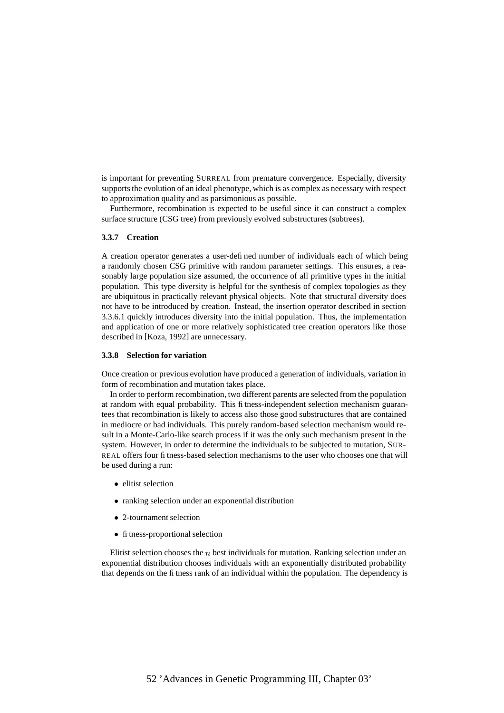is important for preventing SURREAL from premature convergence. Especially, diversity supports the evolution of an ideal phenotype, which is as complex as necessary with respect to approximation quality and as parsimonious as possible.

Furthermore, recombination is expected to be useful since it can construct a complex surface structure (CSG tree) from previously evolved substructures (subtrees).

### **3.3.7 Creation**

A creation operator generates a user-defined number of individuals each of which being a randomly chosen CSG primitive with random parameter settings. This ensures, a reasonably large population size assumed, the occurrence of all primitive types in the initial population. This type diversity is helpful for the synthesis of complex topologies as they are ubiquitous in practically relevant physical objects. Note that structural diversity does not have to be introduced by creation. Instead, the insertion operator described in section 3.3.6.1 quickly introduces diversity into the initial population. Thus, the implementation and application of one or more relatively sophisticated tree creation operators like those described in [Koza, 1992] are unnecessary.

### **3.3.8 Selection for variation**

Once creation or previous evolution have produced a generation of individuals, variation in form of recombination and mutation takes place.

In order to perform recombination, two different parents are selected from the population at random with equal probability. This fitness-independent selection mechanism guarantees that recombination is likely to access also those good substructures that are contained in mediocre or bad individuals. This purely random-based selection mechanism would result in a Monte-Carlo-like search process if it was the only such mechanism present in the system. However, in order to determine the individuals to be subjected to mutation, SUR-REAL offers four fitness-based selection mechanisms to the user who chooses one that will be used during a run:

- elitist selection
- ranking selection under an exponential distribution
- 2-tournament selection
- fi tness-proportional selection

Elitist selection chooses the  $n$  best individuals for mutation. Ranking selection under an exponential distribution chooses individuals with an exponentially distributed probability that depends on the fitness rank of an individual within the population. The dependency is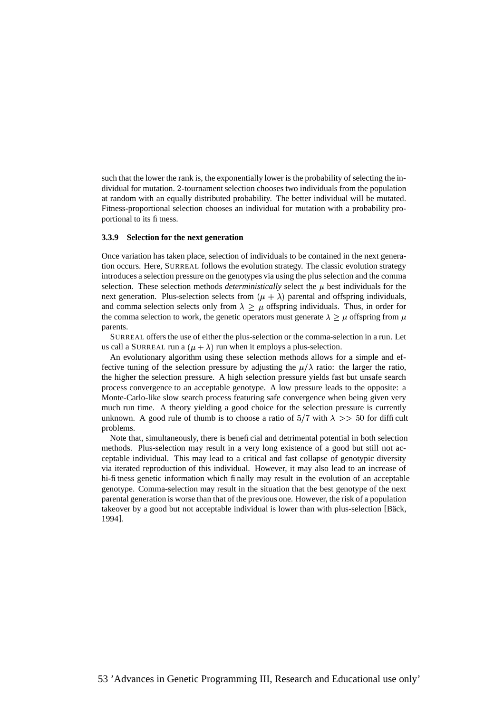such that the lower the rank is, the exponentially lower is the probability of selecting the individual for mutation. 2-tournament selection chooses two individuals from the population at random with an equally distributed probability. The better individual will be mutated. Fitness-proportional selection chooses an individual for mutation with a probability proportional to its fi tness.

### **3.3.9 Selection for the next generation**

Once variation has taken place, selection of individuals to be contained in the next generation occurs. Here, SURREAL follows the evolution strategy. The classic evolution strategy introduces a selection pressure on the genotypes via using the plus selection and the comma selection. These selection methods *deterministically* select the  $\mu$  best individuals for the next generation. Plus-selection selects from  $(\mu + \lambda)$  parental and offspring individuals, and comma selection selects only from  $\lambda > \mu$  offspring individuals. Thus, in order for the comma selection to work, the genetic operators must generate  $\lambda \geq \mu$  offspring from  $\mu$ parents.

SURREAL offers the use of either the plus-selection or the comma-selection in a run. Let us call a SURREAL run a  $(\mu + \lambda)$  run when it employs a plus-selection.

An evolutionary algorithm using these selection methods allows for a simple and effective tuning of the selection pressure by adjusting the  $\mu/\lambda$  ratio: the larger the ratio, the higher the selection pressure. A high selection pressure yields fast but unsafe search process convergence to an acceptable genotype. A low pressure leads to the opposite: a Monte-Carlo-like slow search process featuring safe convergence when being given very much run time. A theory yielding a good choice for the selection pressure is currently unknown. A good rule of thumb is to choose a ratio of  $5/7$  with  $\lambda \gg 50$  for difficult problems.

Note that, simultaneously, there is beneficial and detrimental potential in both selection methods. Plus-selection may result in a very long existence of a good but still not acceptable individual. This may lead to a critical and fast collapse of genotypic diversity via iterated reproduction of this individual. However, it may also lead to an increase of hi-fitness genetic information which finally may result in the evolution of an acceptable genotype. Comma-selection may result in the situation that the best genotype of the next parental generation is worse than that of the previous one. However, the risk of a population takeover by a good but not acceptable individual is lower than with plus-selection [Bäck, 1994].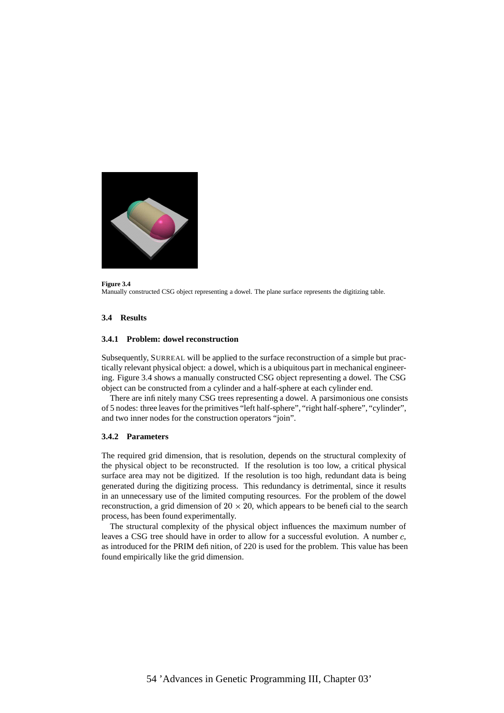

**Figure 3.4** Manually constructed CSG object representing a dowel. The plane surface represents the digitizing table.

# **3.4 Results**

### **3.4.1 Problem: dowel reconstruction**

Subsequently, SURREAL will be applied to the surface reconstruction of a simple but practically relevant physical object: a dowel, which is a ubiquitous part in mechanical engineering. Figure 3.4 shows a manually constructed CSG object representing a dowel. The CSG object can be constructed from a cylinder and a half-sphere at each cylinder end.

There are infinitely many CSG trees representing a dowel. A parsimonious one consists of 5 nodes: three leaves for the primitives "left half-sphere", "right half-sphere", "cylinder", and two inner nodes for the construction operators "join".

### **3.4.2 Parameters**

The required grid dimension, that is resolution, depends on the structural complexity of the physical object to be reconstructed. If the resolution is too low, a critical physical surface area may not be digitized. If the resolution is too high, redundant data is being generated during the digitizing process. This redundancy is detrimental, since it results in an unnecessary use of the limited computing resources. For the problem of the dowel reconstruction, a grid dimension of  $20 \times 20$ , which appears to be beneficial to the search process, has been found experimentally.

The structural complexity of the physical object influences the maximum number of leaves a CSG tree should have in order to allow for a successful evolution. A number  $c$ , as introduced for the PRIM definition, of 220 is used for the problem. This value has been found empirically like the grid dimension.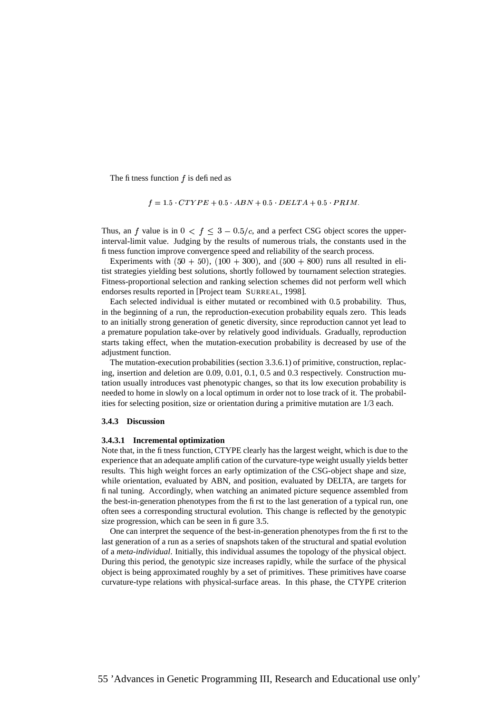The fitness function  $f$  is defined as

 $f=1.5$   $CTYPE+0.5$   $ABN+0.5$   $DELTA+0.5$   $PRIM$ .

Thus, an f value is in  $0 < f \leq 3 - 0.5/c$ , and a perfect CSG object scores the upperinterval-limit value. Judging by the results of numerous trials, the constants used in the fitness function improve convergence speed and reliability of the search process.

Experiments with  $(50 + 50)$ ,  $(100 + 300)$ , and  $(500 + 800)$  runs all resulted in elitist strategies yielding best solutions, shortly followed by tournament selection strategies. Fitness-proportional selection and ranking selection schemes did not perform well which endorses results reported in [Project team SURREAL, 1998].

Each selected individual is either mutated or recombined with 0.5 probability. Thus, in the beginning of a run, the reproduction-execution probability equals zero. This leads to an initially strong generation of genetic diversity, since reproduction cannot yet lead to a premature population take-over by relatively good individuals. Gradually, reproduction starts taking effect, when the mutation-execution probability is decreased by use of the adjustment function.

The mutation-execution probabilities (section 3.3.6.1) of primitive, construction, replacing, insertion and deletion are 0.09, 0.01, 0.1, 0.5 and 0.3 respectively. Construction mutation usually introduces vast phenotypic changes, so that its low execution probability is needed to home in slowly on a local optimum in order not to lose track of it. The probabilities for selecting position, size or orientation during a primitive mutation are 1/3 each.

# **3.4.3 Discussion**

### **3.4.3.1 Incremental optimization**

Note that, in the fitness function, CTYPE clearly has the largest weight, which is due to the experience that an adequate amplification of the curvature-type weight usually yields better results. This high weight forces an early optimization of the CSG-object shape and size, while orientation, evaluated by ABN, and position, evaluated by DELTA, are targets for final tuning. Accordingly, when watching an animated picture sequence assembled from the best-in-generation phenotypes from the first to the last generation of a typical run, one often sees a corresponding structural evolution. This change is reflected by the genotypic size progression, which can be seen in figure 3.5.

One can interpret the sequence of the best-in-generation phenotypes from the first to the last generation of a run as a series of snapshots taken of the structural and spatial evolution of a *meta-individual*. Initially, this individual assumes the topology of the physical object. During this period, the genotypic size increases rapidly, while the surface of the physical object is being approximated roughly by a set of primitives. These primitives have coarse curvature-type relations with physical-surface areas. In this phase, the CTYPE criterion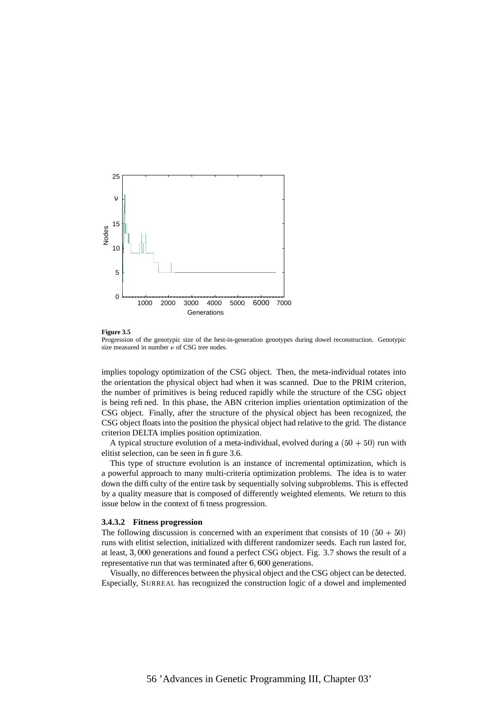



Progression of the genotypic size of the best-in-generation genotypes during dowel reconstruction. Genotypic size measured in number  $\nu$  of CSG tree nodes.

implies topology optimization of the CSG object. Then, the meta-individual rotates into the orientation the physical object had when it was scanned. Due to the PRIM criterion, the number of primitives is being reduced rapidly while the structure of the CSG object is being refined. In this phase, the ABN criterion implies orientation optimization of the CSG object. Finally, after the structure of the physical object has been recognized, the CSG object floats into the position the physical object had relative to the grid. The distance criterion DELTA implies position optimization.

A typical structure evolution of a meta-individual, evolved during a  $(50 + 50)$  run with elitist selection, can be seen in figure 3.6.

This type of structure evolution is an instance of incremental optimization, which is a powerful approach to many multi-criteria optimization problems. The idea is to water down the difficulty of the entire task by sequentially solving subproblems. This is effected by a quality measure that is composed of differently weighted elements. We return to this issue below in the context of fitness progression.

### **3.4.3.2 Fitness progression**

The following discussion is concerned with an experiment that consists of  $10(50 + 50)$ runs with elitist selection, initialized with different randomizer seeds. Each run lasted for, at least, 3,000 generations and found a perfect CSG object. Fig. 3.7 shows the result of a representative run that was terminated after  $6,600$  generations.

Visually, no differences between the physical object and the CSG object can be detected. Especially, SURREAL has recognized the construction logic of a dowel and implemented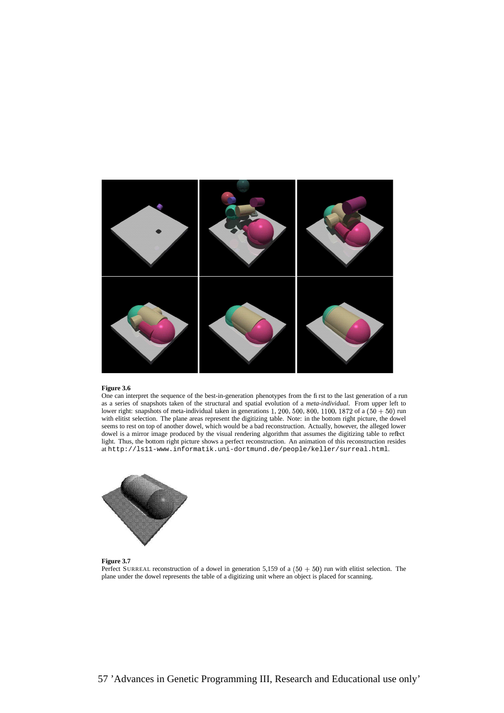

#### **Figure 3.6**

One can interpret the sequence of the best-in-generation phenotypes from the first to the last generation of a run as a series of snapshots taken of the structural and spatial evolution of a *meta-individual*. From upper left to lower right: snapshots of meta-individual taken in generations  $1, 200, 500, 800, 1100, 1872$  of a  $(50 + 50)$  run with elitist selection. The plane areas represent the digitizing table. Note: in the bottom right picture, the dowel seems to rest on top of another dowel, which would be a bad reconstruction. Actually, however, the alleged lower dowel is a mirror image produced by the visual rendering algorithm that assumes the digitizing table to reflect light. Thus, the bottom right picture shows a perfect reconstruction. An animation of this reconstruction resides at http://ls11-www.informatik.uni-dortmund.de/people/keller/surreal.html.



**Figure 3.7** Perfect SURREAL reconstruction of a dowel in generation 5,159 of a  $(50 + 50)$  run with elitist selection. The plane under the dowel represents the table of a digitizing unit where an object is placed for scanning.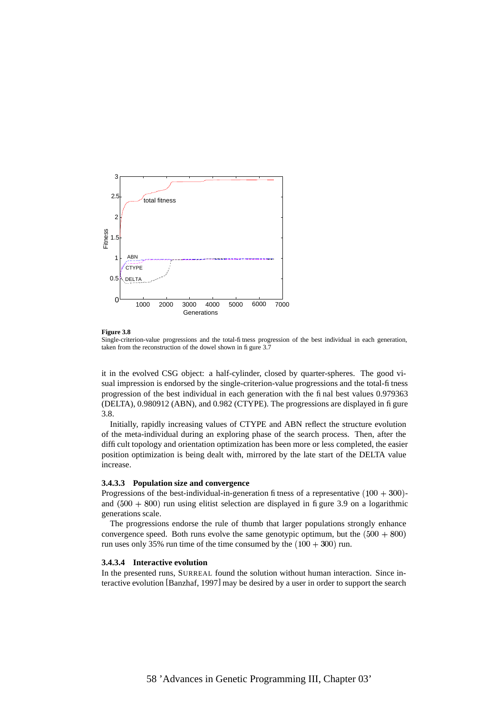



Single-criterion-value progressions and the total-fitness progression of the best individual in each generation, taken from the reconstruction of the dowel shown in figure 3.7

it in the evolved CSG object: a half-cylinder, closed by quarter-spheres. The good visual impression is endorsed by the single-criterion-value progressions and the total-fitness progression of the best individual in each generation with the final best values 0.979363 (DELTA), 0.980912 (ABN), and 0.982 (CTYPE). The progressions are displayed in figure 3.8.

Initially, rapidly increasing values of CTYPE and ABN reflect the structure evolution of the meta-individual during an exploring phase of the search process. Then, after the difficult topology and orientation optimization has been more or less completed, the easier position optimization is being dealt with, mirrored by the late start of the DELTA value increase.

#### **3.4.3.3 Population size and convergence**

Progressions of the best-individual-in-generation fitness of a representative  $(100 + 300)$ and  $(500 + 800)$  run using elitist selection are displayed in figure 3.9 on a logarithmic generations scale.

The progressions endorse the rule of thumb that larger populations strongly enhance convergence speed. Both runs evolve the same genotypic optimum, but the  $(500 + 800)$ run uses only 35% run time of the time consumed by the  $(100 + 300)$  run.

### **3.4.3.4 Interactive evolution**

In the presented runs, SURREAL found the solution without human interaction. Since interactive evolution [Banzhaf, 1997] may be desired by a user in order to support the search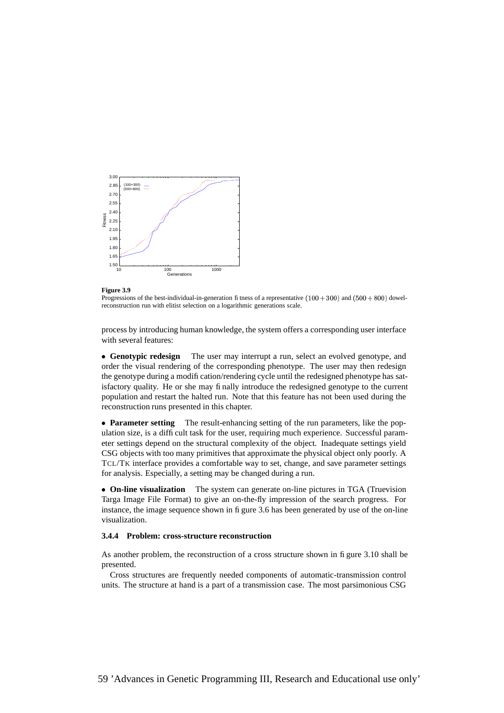

**Figure 3.9**

Progressions of the best-individual-in-generation fitness of a representative  $(100 + 300)$  and  $(500 + 800)$  dowelreconstruction run with elitist selection on a logarithmic generations scale.

process by introducing human knowledge, the system offers a corresponding user interface with several features:

 **Genotypic redesign** The user may interrupt a run, select an evolved genotype, and order the visual rendering of the corresponding phenotype. The user may then redesign the genotype during a modification/rendering cycle until the redesigned phenotype has satisfactory quality. He or she may finally introduce the redesigned genotype to the current population and restart the halted run. Note that this feature has not been used during the reconstruction runs presented in this chapter.

 **Parameter setting** The result-enhancing setting of the run parameters, like the population size, is a difficult task for the user, requiring much experience. Successful parameter settings depend on the structural complexity of the object. Inadequate settings yield CSG objects with too many primitives that approximate the physical object only poorly. A TCL/TK interface provides a comfortable way to set, change, and save parameter settings for analysis. Especially, a setting may be changed during a run.

 **On-line visualization** The system can generate on-line pictures in TGA (Truevision Targa Image File Format) to give an on-the-fly impression of the search progress. For instance, the image sequence shown in figure 3.6 has been generated by use of the on-line visualization.

### **3.4.4 Problem: cross-structure reconstruction**

As another problem, the reconstruction of a cross structure shown in figure 3.10 shall be presented.

Cross structures are frequently needed components of automatic-transmission control units. The structure at hand is a part of a transmission case. The most parsimonious CSG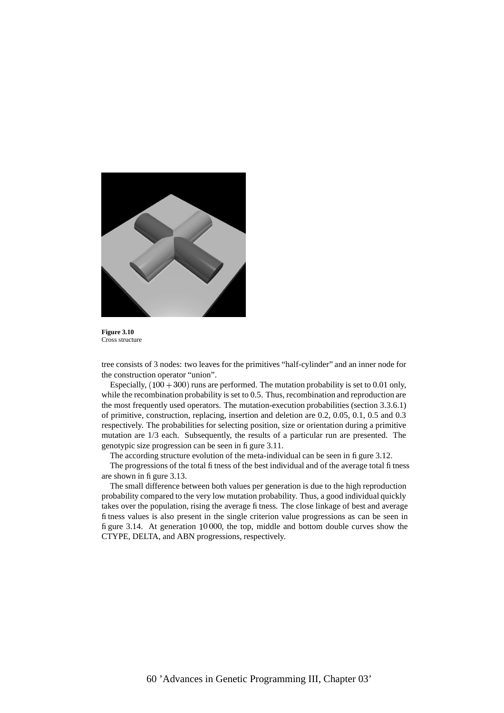



tree consists of 3 nodes: two leaves for the primitives "half-cylinder" and an inner node for the construction operator "union".

Especially,  $(100 + 300)$  runs are performed. The mutation probability is set to 0.01 only, while the recombination probability is set to 0.5. Thus, recombination and reproduction are the most frequently used operators. The mutation-execution probabilities (section 3.3.6.1) of primitive, construction, replacing, insertion and deletion are 0.2, 0.05, 0.1, 0.5 and 0.3 respectively. The probabilities for selecting position, size or orientation during a primitive mutation are 1/3 each. Subsequently, the results of a particular run are presented. The genotypic size progression can be seen in figure 3.11.

The according structure evolution of the meta-individual can be seen in figure 3.12.

The progressions of the total fitness of the best individual and of the average total fitness are shown in figure 3.13.

The small difference between both values per generation is due to the high reproduction probability compared to the very low mutation probability. Thus, a good individual quickly takes over the population, rising the average fitness. The close linkage of best and average fitness values is also present in the single criterion value progressions as can be seen in figure 3.14. At generation  $10\,000$ , the top, middle and bottom double curves show the CTYPE, DELTA, and ABN progressions, respectively.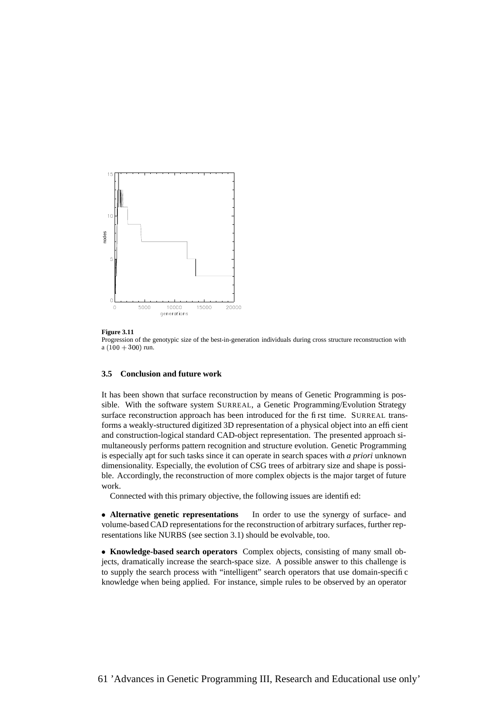



#### **3.5 Conclusion and future work**

For the same of the genetic method is the same of the same of the same of the same of the same of the same of the same of the same of the same of the same of the same of the same of the same of the same of the same of the It has been shown that surface reconstruction by means of Genetic Programming is possible. With the software system SURREAL, a Genetic Programming/Evolution Strategy surface reconstruction approach has been introduced for the first time. SURREAL transforms a weakly-structured digitized 3D representation of a physical object into an efficient and construction-logical standard CAD-object representation. The presented approach simultaneously performs pattern recognition and structure evolution. Genetic Programming is especially apt for such tasks since it can operate in search spaces with *a priori* unknown dimensionality. Especially, the evolution of CSG trees of arbitrary size and shape is possible. Accordingly, the reconstruction of more complex objects is the major target of future work.

Connected with this primary objective, the following issues are identified:

• Alternative genetic representations In order to use the synergy of surface- and volume-based CAD representations for the reconstruction of arbitrary surfaces, further representations like NURBS (see section 3.1) should be evolvable, too.

 **Knowledge-based search operators** Complex objects, consisting of many small objects, dramatically increase the search-space size. A possible answer to this challenge is to supply the search process with "intelligent" search operators that use domain-specific knowledge when being applied. For instance, simple rules to be observed by an operator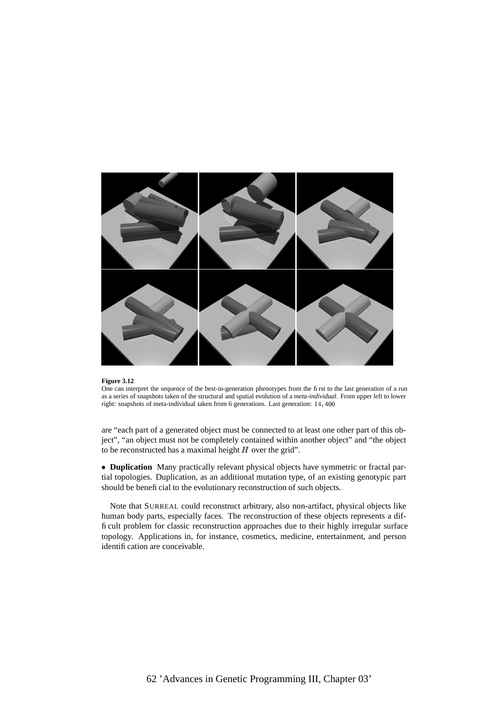

#### **Figure 3.12**

One can interpret the sequence of the best-in-generation phenotypes from the first to the last generation of a run as a series of snapshots taken of the structural and spatial evolution of a *meta-individual*. From upper left to lower right: snapshots of meta-individual taken from 6 generations. Last generation:  $14,400$ 

are "each part of a generated object must be connected to at least one other part of this object", "an object must not be completely contained within another object" and "the object to be reconstructed has a maximal height  $H$  over the grid".

 **Duplication** Many practically relevant physical objects have symmetric or fractal partial topologies. Duplication, as an additional mutation type, of an existing genotypic part should be beneficial to the evolutionary reconstruction of such objects.

Note that SURREAL could reconstruct arbitrary, also non-artifact, physical objects like human body parts, especially faces. The reconstruction of these objects represents a difficult problem for classic reconstruction approaches due to their highly irregular surface topology. Applications in, for instance, cosmetics, medicine, entertainment, and person identification are conceivable.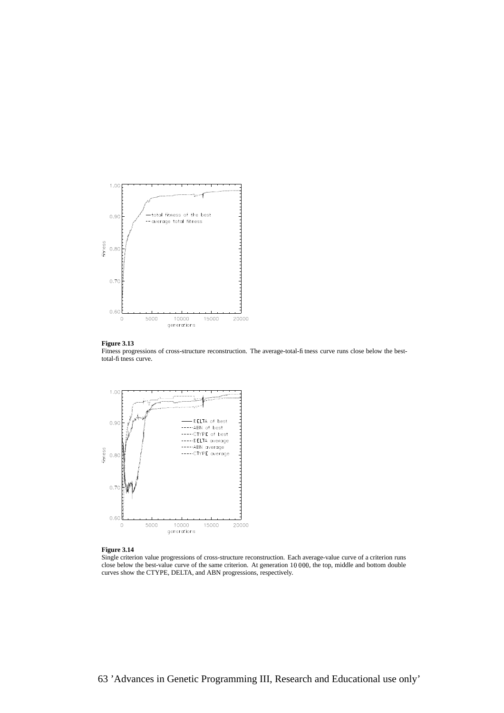

#### **Figure 3.13**

Fitness progressions of cross-structure reconstruction. The average-total-fitness curve runs close below the besttotal-fi tness curve.



# **Figure 3.14**

Single criterion value progressions of cross-structure reconstruction. Each average-value curve of a criterion runs close below the best-value curve of the same criterion. At generation 10000, the top, middle and bottom double curves show the CTYPE, DELTA, and ABN progressions, respectively.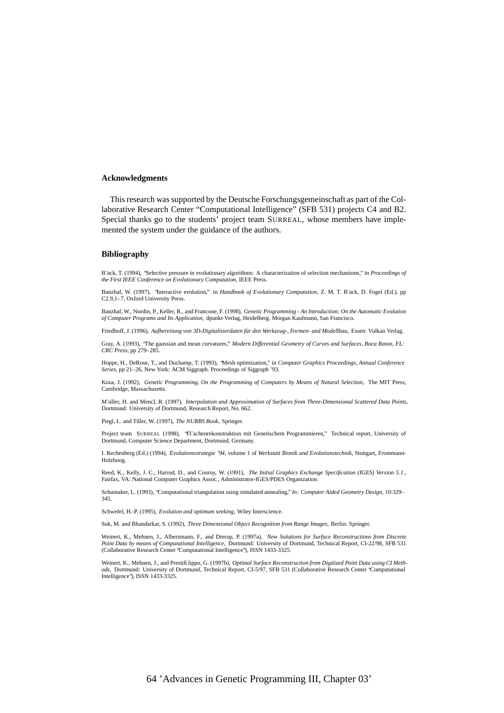### **Acknowledgments**

This research was supported by the Deutsche Forschungsgemeinschaft as part of the Collaborative Research Center "Computational Intelligence" (SFB 531) projects C4 and B2. Special thanks go to the students' project team SURREAL, whose members have implemented the system under the guidance of the authors.

### **Bibliography**

B¨ack, T. (1994), "Selective pressure in evolutionary algorithms: A characterization of selection mechanisms," in *Proceedings of the First IEEE Conference on Evolutionary Computation*, IEEE Press.

Banzhaf, W. (1997), "Interactive evolution," in *Handbook of Evolutionary Computation*, Z. M. T. B¨ack, D. Fogel (Ed.), pp C2.9,1–7, Oxford University Press.

Banzhaf, W., Nordin, P., Keller, R., and Francone, F. (1998), *Genetic Programming - An Introduction; On the Automatic Evolution of Computer Programs and Its Application*, dpunkt-Verlag, Heidelberg. Morgan Kaufmann, San Francisco.

Friedhoff, J. (1996), *Aufbereitung von 3D-Digitalisierdaten fur¨ den Werkzeug-, Formen- und Modellbau*, Essen: Vulkan Verlag.

Gray, A. (1993), "The gaussian and mean curvatures," *Modern Differential Geometry of Curves and Surfaces, Boca Raton, FL: CRC Press*, pp 279–285.

Hoppe, H., DeRose, T., and Duchamp, T. (1993), "Mesh optimization," in *Computer Graphics Proceedings, Annual Conference Series*, pp 21–26, New York: ACM Siggraph. Proceedings of Siggraph '93.

Koza, J. (1992), *Genetic Programming, On the Programming of Computers by Means of Natural Selection*, The MIT Press, Cambridge, Massachusetts.

M¨uller, H. and Mencl, R. (1997), *Interpolation and Approximation of Surfaces from Three-Dimensional Scattered Data Points*, Dortmund: University of Dortmund, Research Report, No. 662.

Piegl, L. and Tiller, W. (1997), *The NURBS Book*, Springer.

Project team SURREAL (1998), "Fl¨achenrekonstruktion mit Genetischem Programmieren," Technical report, University of Dortmund, Computer Science Department, Dortmund, Germany.

I. Rechenberg (Ed.) (1994), *Evolutionsstrategie '94*, volume 1 of *Werkstatt Bionik und Evolutionstechnik*, Stuttgart, Frommann-Holzboog.

Reed, K., Kelly, J. C., Harrod, D., and Conroy, W. (1991), *The Initial Graphics Exchange Specification (IGES) Version 5.1.*, Fairfax, VA: National Computer Graphics Assoc., Administrator-IGES/PDES Organization.

Schumaker, L. (1993), "Computational triangulation using simulated annealing," *In: Computer Aided Geometry Design*, 10:329– 345.

Schwefel, H.-P. (1995), *Evolution and optimum seeking*, Wiley Interscience.

Suk, M. and Bhandarkar, S. (1992), *Three Dimensional Object Recognition from Range Images*, Berlin: Springer.

Weinert, K., Mehnen, J., Albersmann, F., and Drerup, P. (1997a), *New Solutions for Surface Reconstructions from Discrete Point Data by means of Computational Intelligence*, Dortmund: University of Dortmund, Technical Report, CI-22/98, SFB 531 (Collaborative Research Center "Computational Intelligence"), ISSN 1433-3325.

Weinert, K., Mehnen, J., and Prestifilippo, G. (1997b), *Optimal Surface Reconstruction from Digitized Point Data using CI Methods*, Dortmund: University of Dortmund, Technical Report, CI-5/97, SFB 531 (Collaborative Research Center "Computational Intelligence"), ISSN 1433-3325.